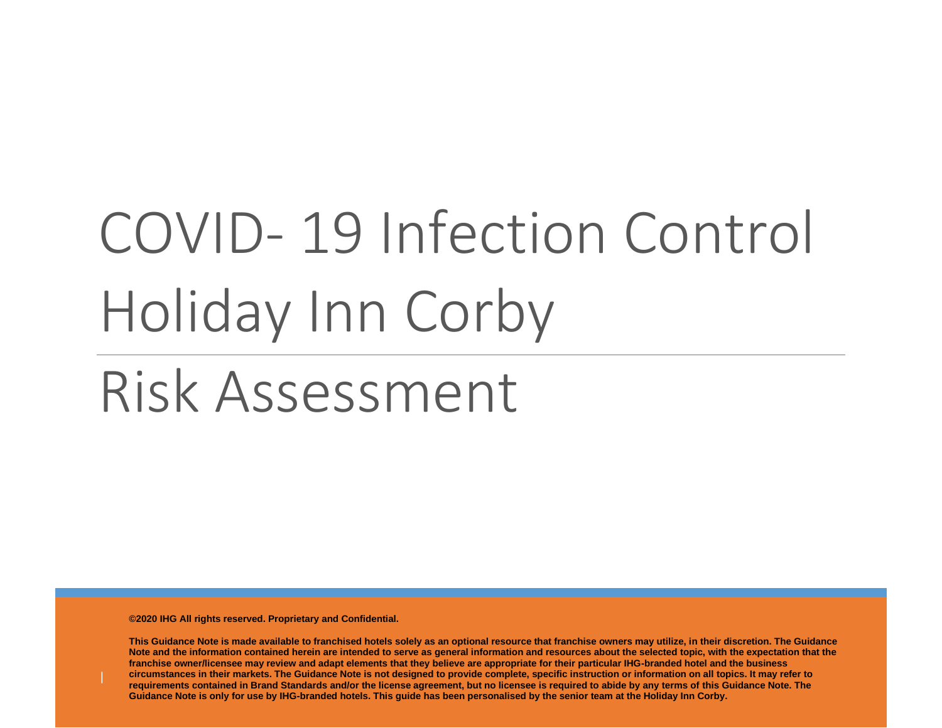# COVID- 19 Infection Control Holiday Inn Corby

Risk Assessment

**©2020 IHG All rights reserved. Proprietary and Confidential.**

**This Guidance Note is made available to franchised hotels solely as an optional resource that franchise owners may utilize, in their discretion. The Guidance Note and the information contained herein are intended to serve as general information and resources about the selected topic, with the expectation that the franchise owner/licensee may review and adapt elements that they believe are appropriate for their particular IHG-branded hotel and the business circumstances in their markets. The Guidance Note is not designed to provide complete, specific instruction or information on all topics. It may refer to requirements contained in Brand Standards and/or the license agreement, but no licensee is required to abide by any terms of this Guidance Note. The Guidance Note is only for use by IHG-branded hotels. This guide has been personalised by the senior team at the Holiday Inn Corby.**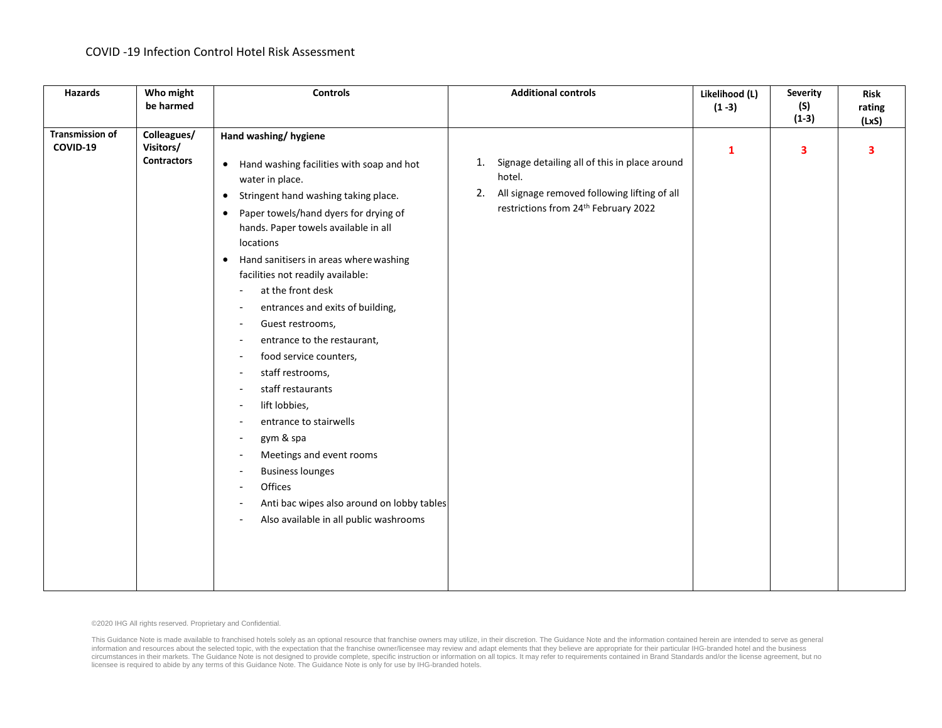| <b>Hazards</b>                     | Who might<br>be harmed                         | <b>Controls</b>                                                                                                                                                                                                                                                                                                                                                                                                                                                                                                                                                                                                                                                                                                                                                                                                                                                                                                                                                                                                                                                                  | <b>Additional controls</b>                                                                                                                                  | Likelihood (L)<br>$(1 - 3)$ | <b>Severity</b><br>(S)<br>$(1-3)$ | <b>Risk</b><br>rating<br>(LxS) |
|------------------------------------|------------------------------------------------|----------------------------------------------------------------------------------------------------------------------------------------------------------------------------------------------------------------------------------------------------------------------------------------------------------------------------------------------------------------------------------------------------------------------------------------------------------------------------------------------------------------------------------------------------------------------------------------------------------------------------------------------------------------------------------------------------------------------------------------------------------------------------------------------------------------------------------------------------------------------------------------------------------------------------------------------------------------------------------------------------------------------------------------------------------------------------------|-------------------------------------------------------------------------------------------------------------------------------------------------------------|-----------------------------|-----------------------------------|--------------------------------|
| <b>Transmission of</b><br>COVID-19 | Colleagues/<br>Visitors/<br><b>Contractors</b> | Hand washing/ hygiene<br>• Hand washing facilities with soap and hot<br>water in place.<br>Stringent hand washing taking place.<br>$\bullet$<br>Paper towels/hand dyers for drying of<br>$\bullet$<br>hands. Paper towels available in all<br>locations<br>Hand sanitisers in areas where washing<br>$\bullet$<br>facilities not readily available:<br>at the front desk<br>$\blacksquare$<br>entrances and exits of building,<br>$\overline{\phantom{a}}$<br>Guest restrooms,<br>$\overline{\phantom{a}}$<br>entrance to the restaurant,<br>$\overline{\phantom{a}}$<br>food service counters,<br>$\overline{\phantom{a}}$<br>staff restrooms,<br>$\overline{\phantom{a}}$<br>staff restaurants<br>$\overline{\phantom{a}}$<br>lift lobbies,<br>$\overline{\phantom{a}}$<br>entrance to stairwells<br>gym & spa<br>$\overline{\phantom{a}}$<br>Meetings and event rooms<br>$\overline{\phantom{a}}$<br><b>Business lounges</b><br>$\blacksquare$<br>Offices<br>$\overline{\phantom{a}}$<br>Anti bac wipes also around on lobby tables<br>Also available in all public washrooms | Signage detailing all of this in place around<br>1.<br>hotel.<br>All signage removed following lifting of all<br>2.<br>restrictions from 24th February 2022 | $\mathbf{1}$                | 3                                 | 3                              |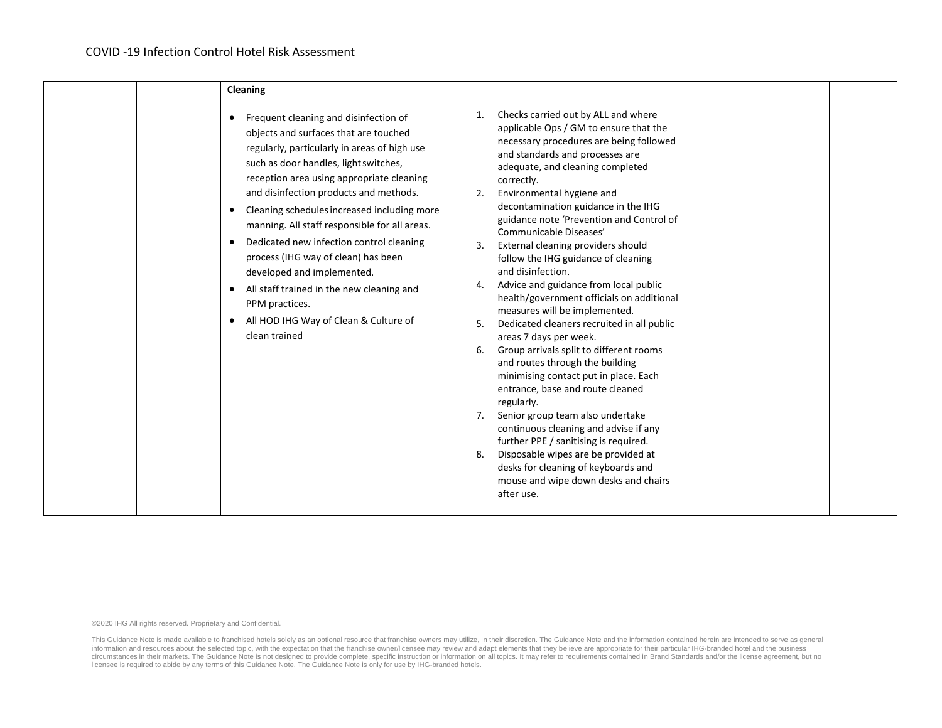|  | Cleaning                                                                                                                                                                                                                                                                                                                                                                                                                                                                                                                                                                                                                           |                            |                                                                                                                                                                                                                                                                                                                                                                                                                                                                                                                                                                                                                                                                                                                                                                                                                                                                                                                                                                                                                                                                                             |  |  |
|--|------------------------------------------------------------------------------------------------------------------------------------------------------------------------------------------------------------------------------------------------------------------------------------------------------------------------------------------------------------------------------------------------------------------------------------------------------------------------------------------------------------------------------------------------------------------------------------------------------------------------------------|----------------------------|---------------------------------------------------------------------------------------------------------------------------------------------------------------------------------------------------------------------------------------------------------------------------------------------------------------------------------------------------------------------------------------------------------------------------------------------------------------------------------------------------------------------------------------------------------------------------------------------------------------------------------------------------------------------------------------------------------------------------------------------------------------------------------------------------------------------------------------------------------------------------------------------------------------------------------------------------------------------------------------------------------------------------------------------------------------------------------------------|--|--|
|  | Frequent cleaning and disinfection of<br>objects and surfaces that are touched<br>regularly, particularly in areas of high use<br>such as door handles, light switches,<br>reception area using appropriate cleaning<br>and disinfection products and methods.<br>Cleaning schedules increased including more<br>$\bullet$<br>manning. All staff responsible for all areas.<br>Dedicated new infection control cleaning<br>$\bullet$<br>process (IHG way of clean) has been<br>developed and implemented.<br>All staff trained in the new cleaning and<br>PPM practices.<br>All HOD IHG Way of Clean & Culture of<br>clean trained | 1.<br>2.<br>6.<br>7.<br>8. | Checks carried out by ALL and where<br>applicable Ops / GM to ensure that the<br>necessary procedures are being followed<br>and standards and processes are<br>adequate, and cleaning completed<br>correctly.<br>Environmental hygiene and<br>decontamination guidance in the IHG<br>guidance note 'Prevention and Control of<br>Communicable Diseases'<br>External cleaning providers should<br>follow the IHG guidance of cleaning<br>and disinfection.<br>Advice and guidance from local public<br>health/government officials on additional<br>measures will be implemented.<br>Dedicated cleaners recruited in all public<br>areas 7 days per week.<br>Group arrivals split to different rooms<br>and routes through the building<br>minimising contact put in place. Each<br>entrance, base and route cleaned<br>regularly.<br>Senior group team also undertake<br>continuous cleaning and advise if any<br>further PPE / sanitising is required.<br>Disposable wipes are be provided at<br>desks for cleaning of keyboards and<br>mouse and wipe down desks and chairs<br>after use. |  |  |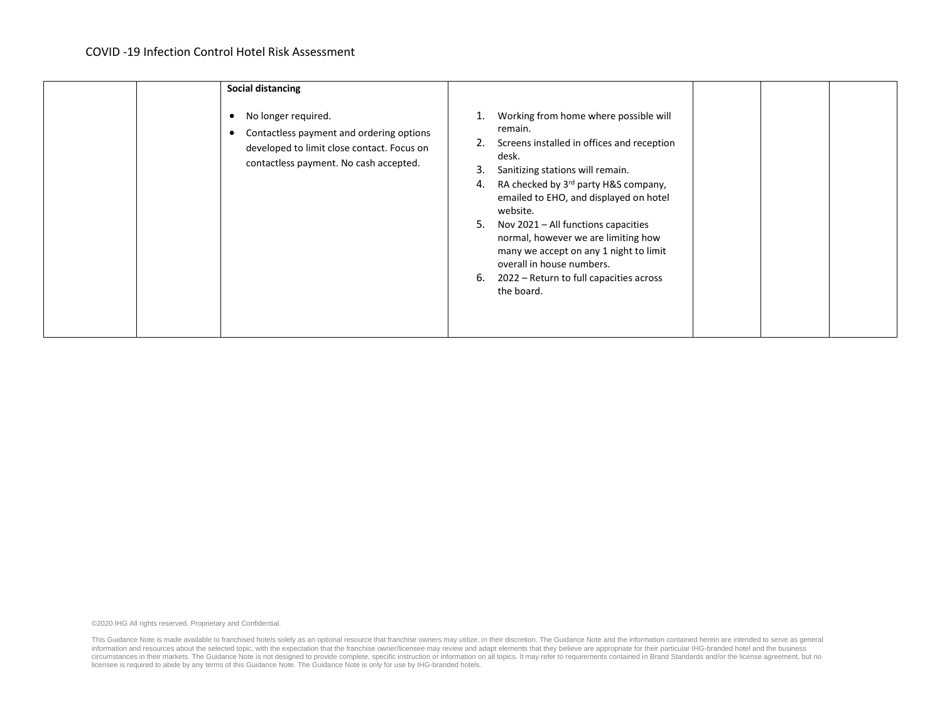| <b>Social distancing</b>                                                                                                                                     |                                                                                                                                                                                                                                                                                                                                                                                                                                                                                 |  |
|--------------------------------------------------------------------------------------------------------------------------------------------------------------|---------------------------------------------------------------------------------------------------------------------------------------------------------------------------------------------------------------------------------------------------------------------------------------------------------------------------------------------------------------------------------------------------------------------------------------------------------------------------------|--|
| No longer required.<br>Contactless payment and ordering options<br>٠<br>developed to limit close contact. Focus on<br>contactless payment. No cash accepted. | Working from home where possible will<br>remain.<br>Screens installed in offices and reception<br>desk.<br>Sanitizing stations will remain.<br>3.<br>RA checked by 3rd party H&S company,<br>4.<br>emailed to EHO, and displayed on hotel<br>website.<br>Nov 2021 – All functions capacities<br>5.<br>normal, however we are limiting how<br>many we accept on any 1 night to limit<br>overall in house numbers.<br>2022 – Return to full capacities across<br>6.<br>the board. |  |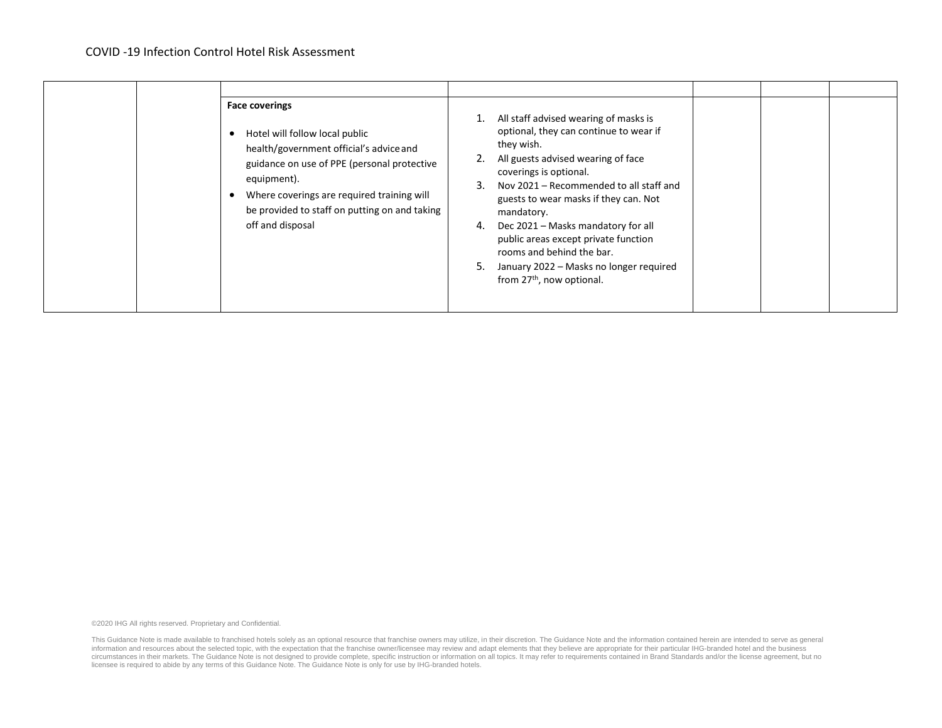| <b>Face coverings</b><br>Hotel will follow local public<br>health/government official's advice and<br>guidance on use of PPE (personal protective<br>equipment).<br>Where coverings are required training will<br>be provided to staff on putting on and taking<br>off and disposal | All staff advised wearing of masks is<br>optional, they can continue to wear if<br>they wish.<br>All guests advised wearing of face<br>coverings is optional.<br>Nov 2021 – Recommended to all staff and<br>3.<br>guests to wear masks if they can. Not<br>mandatory.<br>Dec 2021 - Masks mandatory for all<br>4.<br>public areas except private function<br>rooms and behind the bar.<br>January 2022 - Masks no longer required<br>5.<br>from 27 <sup>th</sup> , now optional. |  |  |
|-------------------------------------------------------------------------------------------------------------------------------------------------------------------------------------------------------------------------------------------------------------------------------------|----------------------------------------------------------------------------------------------------------------------------------------------------------------------------------------------------------------------------------------------------------------------------------------------------------------------------------------------------------------------------------------------------------------------------------------------------------------------------------|--|--|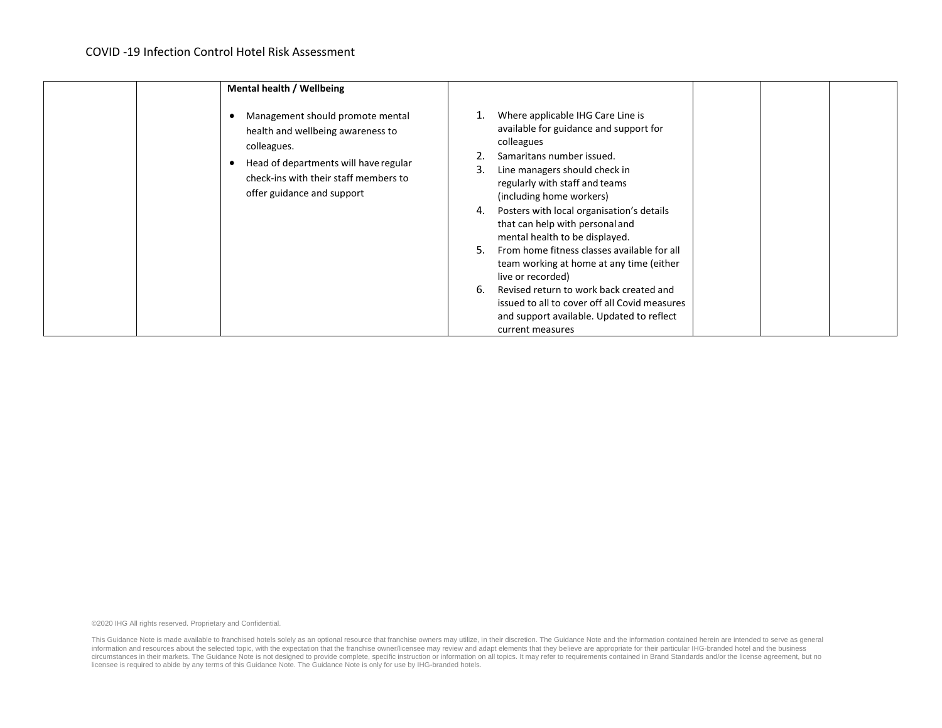| Mental health / Wellbeing                                                                                                                                                                            |                                                                                                                                                                                                                                                                                                                                                                                                                                                                                                                                                                                                                                              |  |
|------------------------------------------------------------------------------------------------------------------------------------------------------------------------------------------------------|----------------------------------------------------------------------------------------------------------------------------------------------------------------------------------------------------------------------------------------------------------------------------------------------------------------------------------------------------------------------------------------------------------------------------------------------------------------------------------------------------------------------------------------------------------------------------------------------------------------------------------------------|--|
| Management should promote mental<br>health and wellbeing awareness to<br>colleagues.<br>Head of departments will have regular<br>check-ins with their staff members to<br>offer guidance and support | Where applicable IHG Care Line is<br>available for guidance and support for<br>colleagues<br>Samaritans number issued.<br>Line managers should check in<br>3.<br>regularly with staff and teams<br>(including home workers)<br>Posters with local organisation's details<br>4.<br>that can help with personal and<br>mental health to be displayed.<br>From home fitness classes available for all<br>5.<br>team working at home at any time (either<br>live or recorded)<br>Revised return to work back created and<br>6.<br>issued to all to cover off all Covid measures<br>and support available. Updated to reflect<br>current measures |  |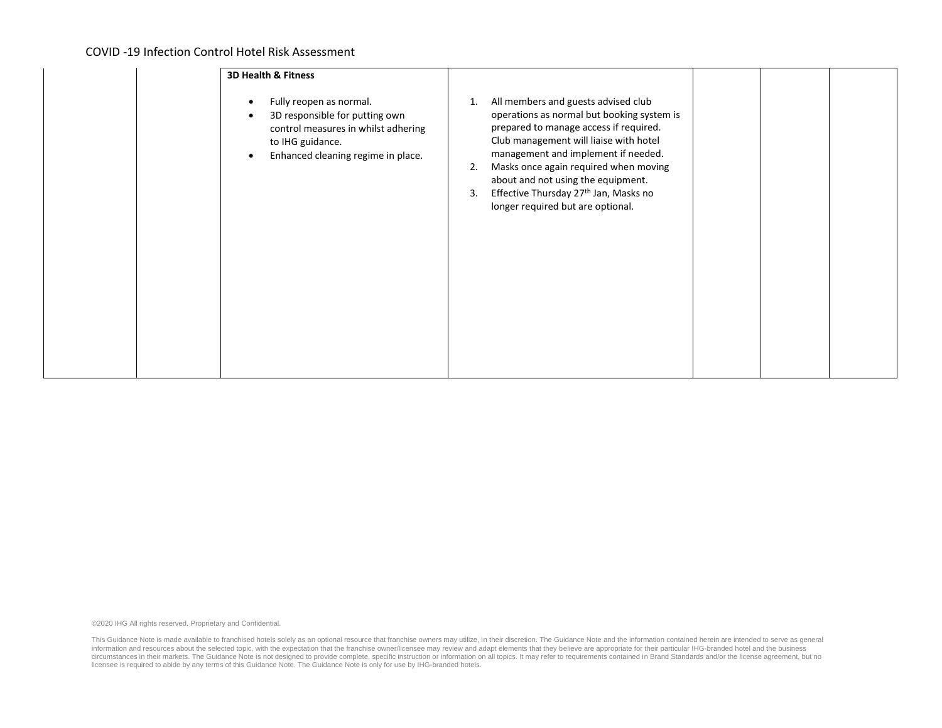| <b>3D Health &amp; Fitness</b>                                                                                                                                                                    |                                                                                                                                                                                                                                                                                                                                                                                                         |  |
|---------------------------------------------------------------------------------------------------------------------------------------------------------------------------------------------------|---------------------------------------------------------------------------------------------------------------------------------------------------------------------------------------------------------------------------------------------------------------------------------------------------------------------------------------------------------------------------------------------------------|--|
| Fully reopen as normal.<br>$\bullet$<br>3D responsible for putting own<br>$\bullet$<br>control measures in whilst adhering<br>to IHG guidance.<br>Enhanced cleaning regime in place.<br>$\bullet$ | All members and guests advised club<br>1.<br>operations as normal but booking system is<br>prepared to manage access if required.<br>Club management will liaise with hotel<br>management and implement if needed.<br>Masks once again required when moving<br>2.<br>about and not using the equipment.<br>Effective Thursday 27 <sup>th</sup> Jan, Masks no<br>3.<br>longer required but are optional. |  |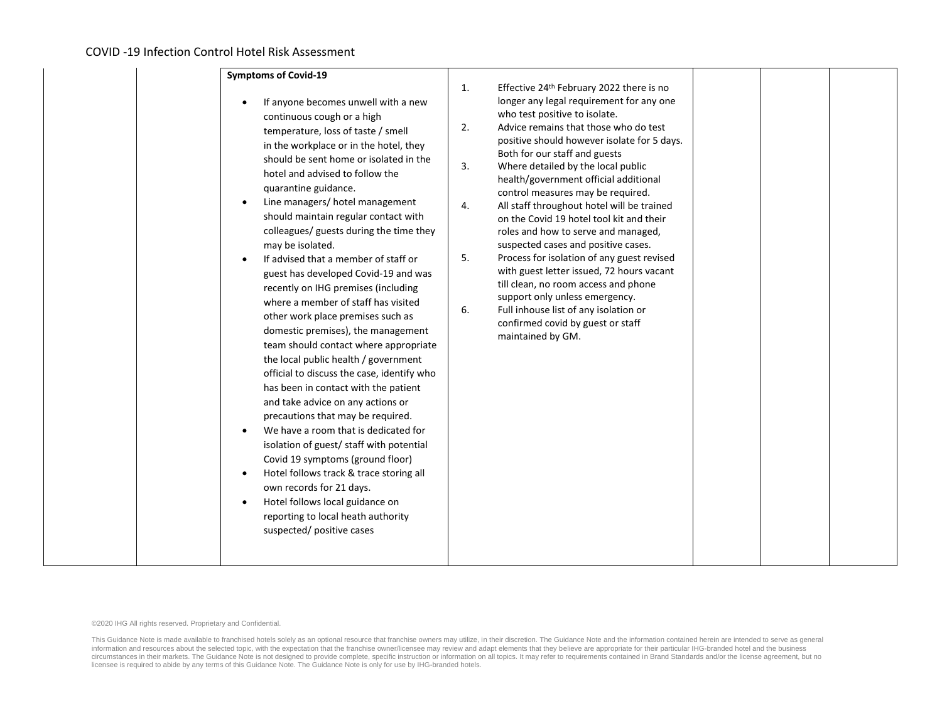| <b>Symptoms of Covid-19</b>                                                                                                                                                                                                                                                                                                                                                                                                                                                                                                                                                                                                                                                                                                                                                                                                                                                                                                                                                                                                                                                                                                                                                                                                            |                                  |                                                                                                                                                                                                                                                                                                                                                                                                                                                                                                                                                                                                                                                                                                                                                                                                                                |  |  |
|----------------------------------------------------------------------------------------------------------------------------------------------------------------------------------------------------------------------------------------------------------------------------------------------------------------------------------------------------------------------------------------------------------------------------------------------------------------------------------------------------------------------------------------------------------------------------------------------------------------------------------------------------------------------------------------------------------------------------------------------------------------------------------------------------------------------------------------------------------------------------------------------------------------------------------------------------------------------------------------------------------------------------------------------------------------------------------------------------------------------------------------------------------------------------------------------------------------------------------------|----------------------------------|--------------------------------------------------------------------------------------------------------------------------------------------------------------------------------------------------------------------------------------------------------------------------------------------------------------------------------------------------------------------------------------------------------------------------------------------------------------------------------------------------------------------------------------------------------------------------------------------------------------------------------------------------------------------------------------------------------------------------------------------------------------------------------------------------------------------------------|--|--|
| If anyone becomes unwell with a new<br>continuous cough or a high<br>temperature, loss of taste / smell<br>in the workplace or in the hotel, they<br>should be sent home or isolated in the<br>hotel and advised to follow the<br>quarantine guidance.<br>Line managers/ hotel management<br>$\bullet$<br>should maintain regular contact with<br>colleagues/ guests during the time they<br>may be isolated.<br>If advised that a member of staff or<br>guest has developed Covid-19 and was<br>recently on IHG premises (including<br>where a member of staff has visited<br>other work place premises such as<br>domestic premises), the management<br>team should contact where appropriate<br>the local public health / government<br>official to discuss the case, identify who<br>has been in contact with the patient<br>and take advice on any actions or<br>precautions that may be required.<br>We have a room that is dedicated for<br>isolation of guest/ staff with potential<br>Covid 19 symptoms (ground floor)<br>Hotel follows track & trace storing all<br>$\bullet$<br>own records for 21 days.<br>Hotel follows local guidance on<br>$\bullet$<br>reporting to local heath authority<br>suspected/ positive cases | 1.<br>2.<br>3.<br>4.<br>5.<br>6. | Effective 24 <sup>th</sup> February 2022 there is no<br>longer any legal requirement for any one<br>who test positive to isolate.<br>Advice remains that those who do test<br>positive should however isolate for 5 days.<br>Both for our staff and guests<br>Where detailed by the local public<br>health/government official additional<br>control measures may be required.<br>All staff throughout hotel will be trained<br>on the Covid 19 hotel tool kit and their<br>roles and how to serve and managed,<br>suspected cases and positive cases.<br>Process for isolation of any guest revised<br>with guest letter issued, 72 hours vacant<br>till clean, no room access and phone<br>support only unless emergency.<br>Full inhouse list of any isolation or<br>confirmed covid by guest or staff<br>maintained by GM. |  |  |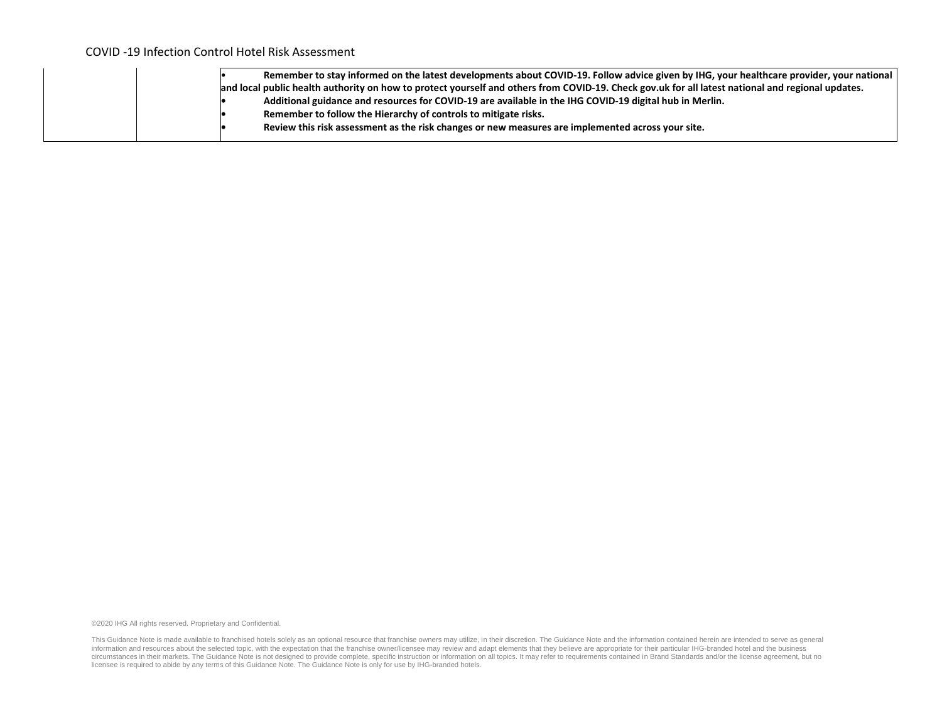|  | Remember to stay informed on the latest developments about COVID-19. Follow advice given by IHG, your healthcare provider, your national          |
|--|---------------------------------------------------------------------------------------------------------------------------------------------------|
|  | and local public health authority on how to protect yourself and others from COVID-19. Check gov.uk for all latest national and regional updates. |
|  | Additional guidance and resources for COVID-19 are available in the IHG COVID-19 digital hub in Merlin.                                           |
|  | Remember to follow the Hierarchy of controls to mitigate risks.                                                                                   |
|  | Review this risk assessment as the risk changes or new measures are implemented across your site.                                                 |
|  |                                                                                                                                                   |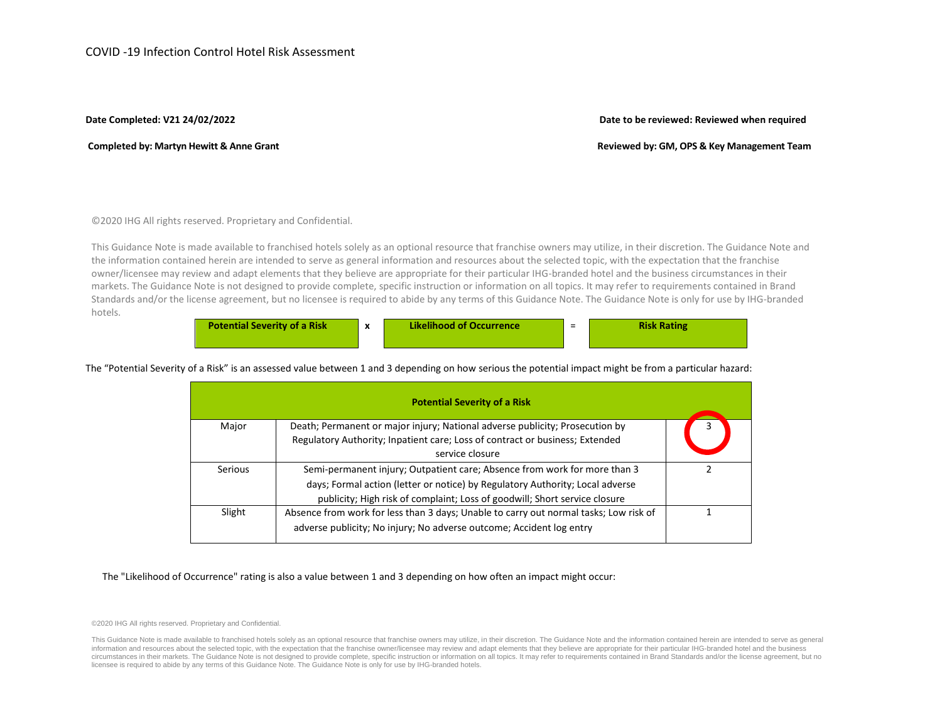## **Date Completed: V21 24/02/2022 Date to be reviewed: Reviewed when required**

# Completed by: Martyn Hewitt & Anne Grant **Reviewed** by: GM, OPS & Key Management Team

©2020 IHG All rights reserved. Proprietary and Confidential.

This Guidance Note is made available to franchised hotels solely as an optional resource that franchise owners may utilize, in their discretion. The Guidance Note and the information contained herein are intended to serve as general information and resources about the selected topic, with the expectation that the franchise owner/licensee may review and adapt elements that they believe are appropriate for their particular IHG-branded hotel and the business circumstances in their markets. The Guidance Note is not designed to provide complete, specific instruction or information on all topics. It may refer to requirements contained in Brand Standards and/or the license agreement, but no licensee is required to abide by any terms of this Guidance Note. The Guidance Note is only for use by IHG-branded hotels.

| <b>Potential Severity of a Risk</b> | <b>Likelihood of Occurrence</b> | - | <b>Risk Rating</b> |
|-------------------------------------|---------------------------------|---|--------------------|
|                                     |                                 |   |                    |

The "Potential Severity of a Risk" is an assessed value between 1 and 3 depending on how serious the potential impact might be from a particular hazard:

|         | <b>Potential Severity of a Risk</b>                                                                                                                                             |  |
|---------|---------------------------------------------------------------------------------------------------------------------------------------------------------------------------------|--|
| Major   | Death; Permanent or major injury; National adverse publicity; Prosecution by<br>Regulatory Authority; Inpatient care; Loss of contract or business; Extended<br>service closure |  |
| Serious | Semi-permanent injury; Outpatient care; Absence from work for more than 3<br>days; Formal action (letter or notice) by Regulatory Authority; Local adverse                      |  |
| Slight  | publicity; High risk of complaint; Loss of goodwill; Short service closure<br>Absence from work for less than 3 days; Unable to carry out normal tasks; Low risk of             |  |

The "Likelihood of Occurrence" rating is also a value between 1 and 3 depending on how often an impact might occur:

©2020 IHG All rights reserved. Proprietary and Confidential.

This Guidance Note is made available to franchised hotels solely as an optional resource that franchise owners may utilize, in their discretion. The Guidance Note and the information contained herein are intended to serve information and resources about the selected topic, with the expectation that the franchise owner/licensee may review and adapt elements that they believe are appropriate for their particular IHG-branded hotel and the busi circumstances in their markets. The Guidance Note is not designed to provide complete, specific instruction or information on all topics. It may refer to requirements contained in Brand Standards and/or the license agreeme licensee is required to abide by any terms of this Guidance Note. The Guidance Note is only for use by IHG-branded hotels.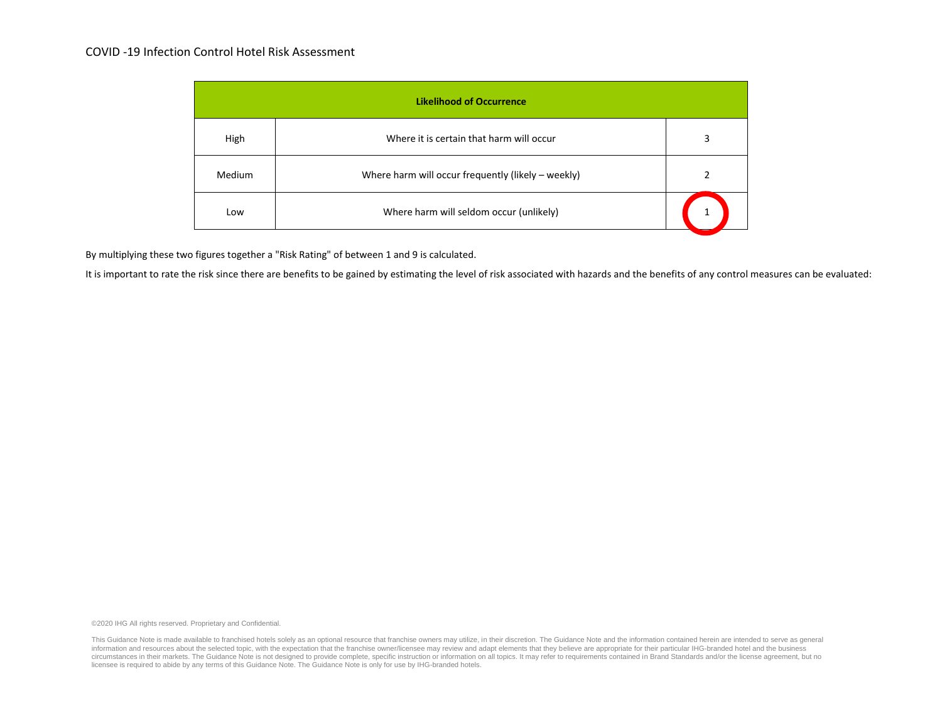# COVID -19 Infection Control Hotel Risk Assessment

| <b>Likelihood of Occurrence</b> |                                                    |   |  |  |  |
|---------------------------------|----------------------------------------------------|---|--|--|--|
| High                            | Where it is certain that harm will occur           | 3 |  |  |  |
| Medium                          | Where harm will occur frequently (likely – weekly) |   |  |  |  |
| Low                             | Where harm will seldom occur (unlikely)            |   |  |  |  |

By multiplying these two figures together a "Risk Rating" of between 1 and 9 is calculated.

It is important to rate the risk since there are benefits to be gained by estimating the level of risk associated with hazards and the benefits of any control measures can be evaluated:

©2020 IHG All rights reserved. Proprietary and Confidential.

This Guidance Note is made available to franchised hotels solely as an optional resource that franchise owners may utilize, in their discretion. The Guidance Note and the information contained herein are intended to serve information and resources about the selected topic, with the expectation that the franchise owner/licensee may review and adapt elements that they believe are appropriate for their particular IHG-branded hotel and the busi licensee is required to abide by any terms of this Guidance Note. The Guidance Note is only for use by IHG-branded hotels.